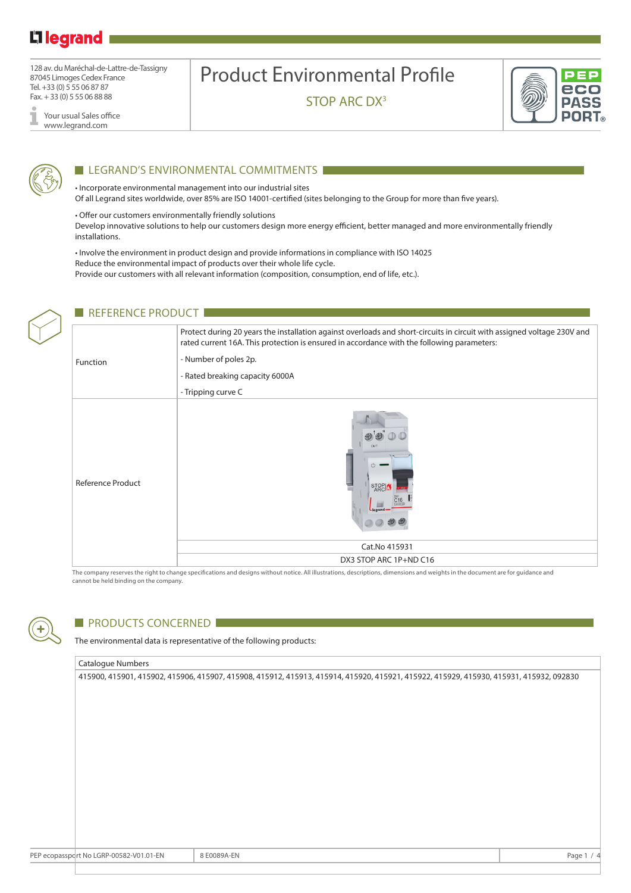## L<sub>legrand</sub>

128 av. du Maréchal-de-Lattre-de-Tassigny 87045 Limoges Cedex France Tel. +33 (0) 5 55 06 87 87 Fax. + 33 (0) 5 55 06 88 88

Your usual Sales office I www.legrand.com

# Product Environmental Profile

STOP ARC DX<sup>3</sup>





#### LEGRAND'S ENVIRONMENTAL COMMITMENTS

• Incorporate environmental management into our industrial sites Of all Legrand sites worldwide, over 85% are ISO 14001-certified (sites belonging to the Group for more than five years).

• Offer our customers environmentally friendly solutions

Develop innovative solutions to help our customers design more energy efficient, better managed and more environmentally friendly installations.

• Involve the environment in product design and provide informations in compliance with ISO 14025 Reduce the environmental impact of products over their whole life cycle. Provide our customers with all relevant information (composition, consumption, end of life, etc.).

|  | <b>REFERENCE PRODUCT</b> |                                                                                                                                                                                                                       |  |  |  |  |  |
|--|--------------------------|-----------------------------------------------------------------------------------------------------------------------------------------------------------------------------------------------------------------------|--|--|--|--|--|
|  | Function                 | Protect during 20 years the installation against overloads and short-circuits in circuit with assigned voltage 230V and<br>rated current 16A. This protection is ensured in accordance with the following parameters: |  |  |  |  |  |
|  |                          | - Number of poles 2p.                                                                                                                                                                                                 |  |  |  |  |  |
|  |                          | - Rated breaking capacity 6000A                                                                                                                                                                                       |  |  |  |  |  |
|  |                          | - Tripping curve C                                                                                                                                                                                                    |  |  |  |  |  |
|  | <b>Reference Product</b> | OUT<br>STOP<br>ARC                                                                                                                                                                                                    |  |  |  |  |  |
|  |                          | Cat.No 415931                                                                                                                                                                                                         |  |  |  |  |  |
|  |                          | DX3 STOP ARC 1P+ND C16                                                                                                                                                                                                |  |  |  |  |  |

The company reserves the right to change specifications and designs without notice. All illustrations, descriptions, dimensions and weights in the document are for guidance and cannot be held binding on the company.



#### **PRODUCTS CONCERNED**

The environmental data is representative of the following products:

#### Catalogue Numbers

| 415900, 415901, 415902, 415906, 415907, 415908, 415912, 415913, 415914, 415920, 415921, 415922, 415929, 415930, 415931, 415932, 092830 |
|----------------------------------------------------------------------------------------------------------------------------------------|
|                                                                                                                                        |
|                                                                                                                                        |
|                                                                                                                                        |
|                                                                                                                                        |
|                                                                                                                                        |
|                                                                                                                                        |
|                                                                                                                                        |
|                                                                                                                                        |
|                                                                                                                                        |
|                                                                                                                                        |
|                                                                                                                                        |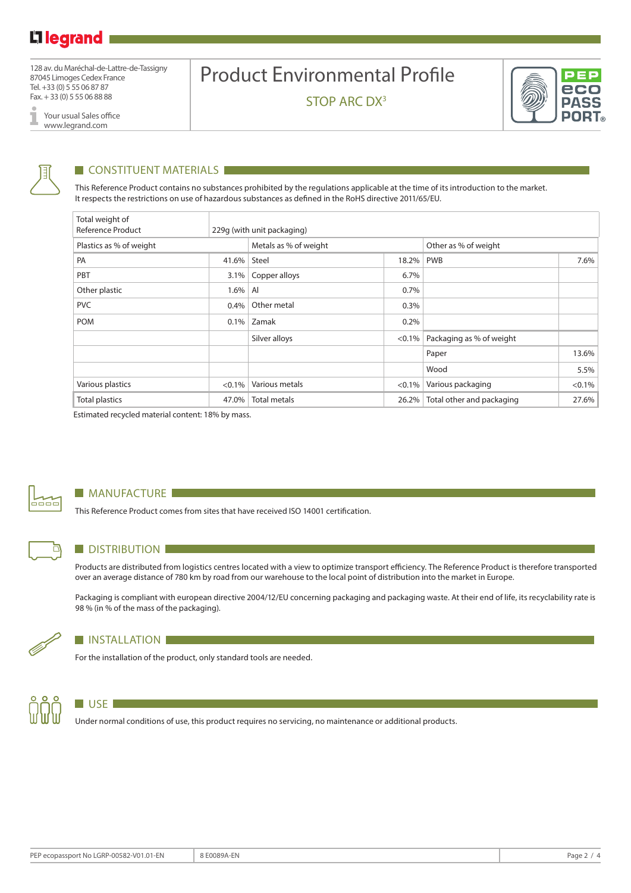128 av. du Maréchal-de-Lattre-de-Tassigny 87045 Limoges Cedex France Tel. +33 (0) 5 55 06 87 87 Fax. + 33 (0) 5 55 06 88 88

> Your usual Sales office www.legrand.com

# Product Environmental Profile

STOP ARC DX<sup>3</sup>



I

### **CONSTITUENT MATERIALS**

This Reference Product contains no substances prohibited by the regulations applicable at the time of its introduction to the market. It respects the restrictions on use of hazardous substances as defined in the RoHS directive 2011/65/EU.

| Total weight of<br>Reference Product |           | 229q (with unit packaging) |           |                           |           |  |  |
|--------------------------------------|-----------|----------------------------|-----------|---------------------------|-----------|--|--|
| Plastics as % of weight              |           | Metals as % of weight      |           | Other as % of weight      |           |  |  |
| PA                                   | 41.6%     | Steel                      | $18.2\%$  | <b>PWB</b>                | 7.6%      |  |  |
| PBT                                  | 3.1%      | Copper alloys              | 6.7%      |                           |           |  |  |
| Other plastic                        | $1.6\%$   | AI                         | 0.7%      |                           |           |  |  |
| <b>PVC</b><br>Other metal<br>$0.4\%$ |           |                            | 0.3%      |                           |           |  |  |
| <b>POM</b>                           | $0.1\%$   | Zamak                      | 0.2%      |                           |           |  |  |
|                                      |           | Silver alloys              | $< 0.1\%$ | Packaging as % of weight  |           |  |  |
|                                      |           |                            |           | Paper                     | 13.6%     |  |  |
|                                      |           |                            |           | Wood                      | 5.5%      |  |  |
| Various plastics                     | $< 0.1\%$ | Various metals             | $< 0.1\%$ | Various packaging         | $< 0.1\%$ |  |  |
| <b>Total plastics</b>                | 47.0%     | <b>Total metals</b>        | 26.2%     | Total other and packaging | 27.6%     |  |  |

Estimated recycled material content: 18% by mass.



⊓

#### **MANUFACTURE**

This Reference Product comes from sites that have received ISO 14001 certification.

#### **DISTRIBUTION**

Products are distributed from logistics centres located with a view to optimize transport efficiency. The Reference Product is therefore transported over an average distance of 780 km by road from our warehouse to the local point of distribution into the market in Europe.

Packaging is compliant with european directive 2004/12/EU concerning packaging and packaging waste. At their end of life, its recyclability rate is 98 % (in % of the mass of the packaging).



#### **INSTALLATION**

For the installation of the product, only standard tools are needed.



#### **USE**

Under normal conditions of use, this product requires no servicing, no maintenance or additional products.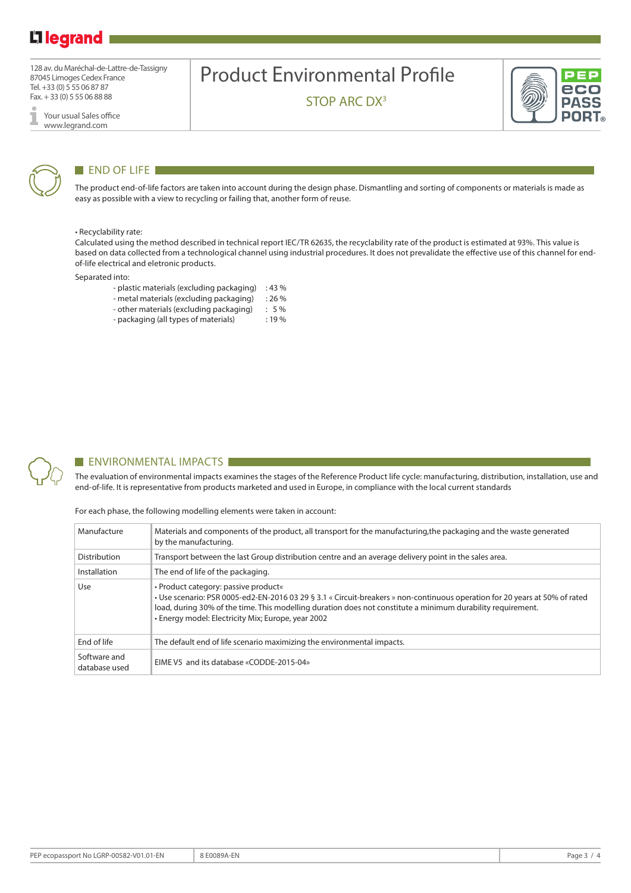### L<sub>1</sub> legrand

128 av. du Maréchal-de-Lattre-de-Tassigny 87045 Limoges Cedex France Tel. +33 (0) 5 55 06 87 87 Fax. + 33 (0) 5 55 06 88 88

Your usual Sales office I www.legrand.com

## Product Environmental Profile

STOP ARC DX<sup>3</sup>





#### END OF LIFE

The product end-of-life factors are taken into account during the design phase. Dismantling and sorting of components or materials is made as easy as possible with a view to recycling or failing that, another form of reuse.

#### • Recyclability rate:

Calculated using the method described in technical report IEC/TR 62635, the recyclability rate of the product is estimated at 93%. This value is based on data collected from a technological channel using industrial procedures. It does not prevalidate the effective use of this channel for endof-life electrical and eletronic products.

Separated into:

- plastic materials (excluding packaging) : 43 %
- metal materials (excluding packaging) : 26 %
- other materials (excluding packaging) : 5 %
- packaging (all types of materials) : 19 %



#### **ENVIRONMENTAL IMPACTS**

The evaluation of environmental impacts examines the stages of the Reference Product life cycle: manufacturing, distribution, installation, use and end-of-life. It is representative from products marketed and used in Europe, in compliance with the local current standards

For each phase, the following modelling elements were taken in account:

| Manufacture                                                                                                           | Materials and components of the product, all transport for the manufacturing, the packaging and the waste generated<br>by the manufacturing.                                                                                                                                                                                             |  |  |
|-----------------------------------------------------------------------------------------------------------------------|------------------------------------------------------------------------------------------------------------------------------------------------------------------------------------------------------------------------------------------------------------------------------------------------------------------------------------------|--|--|
| Distribution<br>Transport between the last Group distribution centre and an average delivery point in the sales area. |                                                                                                                                                                                                                                                                                                                                          |  |  |
| Installation<br>The end of life of the packaging.                                                                     |                                                                                                                                                                                                                                                                                                                                          |  |  |
| Use                                                                                                                   | • Product category: passive product«<br>• Use scenario: PSR 0005-ed2-EN-2016 03 29 § 3.1 « Circuit-breakers » non-continuous operation for 20 years at 50% of rated<br>load, during 30% of the time. This modelling duration does not constitute a minimum durability requirement.<br>• Energy model: Electricity Mix; Europe, year 2002 |  |  |
| End of life                                                                                                           | The default end of life scenario maximizing the environmental impacts.                                                                                                                                                                                                                                                                   |  |  |
| Software and<br>database used                                                                                         | EIME V5 and its database «CODDE-2015-04»                                                                                                                                                                                                                                                                                                 |  |  |